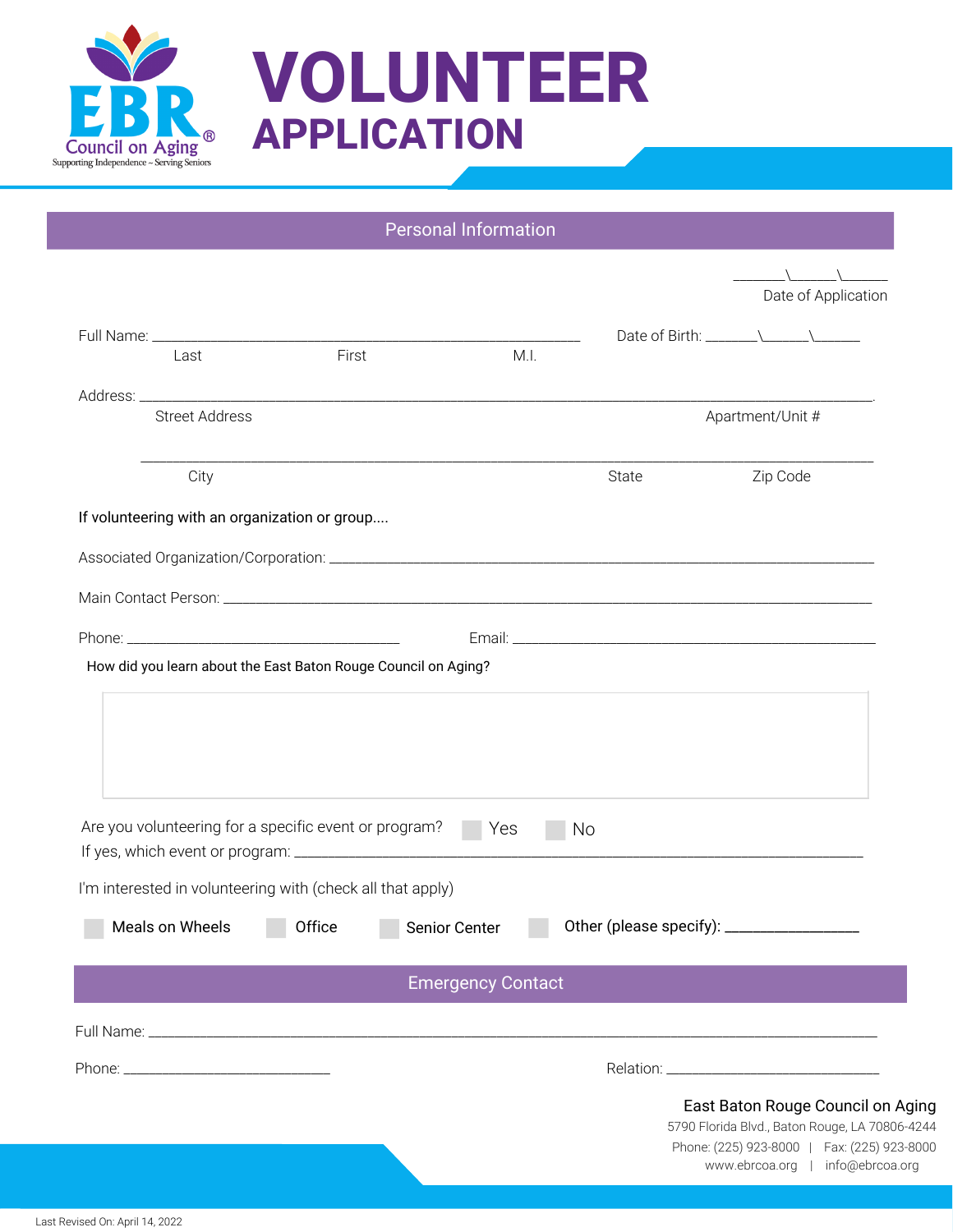

## **VOLUNTEER APPLICATION**

|                                                                |                                                                                                                     |        | Personal Information     |      |       |                  |                                   |
|----------------------------------------------------------------|---------------------------------------------------------------------------------------------------------------------|--------|--------------------------|------|-------|------------------|-----------------------------------|
|                                                                |                                                                                                                     |        |                          |      |       |                  | Date of Application               |
|                                                                | Last                                                                                                                | First  |                          | M.I. |       |                  |                                   |
|                                                                |                                                                                                                     |        |                          |      |       |                  |                                   |
|                                                                | <b>Street Address</b>                                                                                               |        |                          |      |       | Apartment/Unit # |                                   |
|                                                                | City                                                                                                                |        |                          |      | State |                  | Zip Code                          |
|                                                                | If volunteering with an organization or group                                                                       |        |                          |      |       |                  |                                   |
|                                                                |                                                                                                                     |        |                          |      |       |                  |                                   |
|                                                                |                                                                                                                     |        |                          |      |       |                  |                                   |
|                                                                |                                                                                                                     |        |                          |      |       |                  |                                   |
|                                                                |                                                                                                                     |        |                          |      |       |                  |                                   |
| How did you learn about the East Baton Rouge Council on Aging? |                                                                                                                     |        |                          |      |       |                  |                                   |
|                                                                | Are you volunteering for a specific event or program?<br>I'm interested in volunteering with (check all that apply) |        | Yes                      | No   |       |                  |                                   |
|                                                                | Meals on Wheels                                                                                                     | Office | Senior Center            |      |       |                  |                                   |
|                                                                |                                                                                                                     |        | <b>Emergency Contact</b> |      |       |                  |                                   |
|                                                                |                                                                                                                     |        |                          |      |       |                  |                                   |
|                                                                |                                                                                                                     |        |                          |      |       |                  |                                   |
|                                                                |                                                                                                                     |        |                          |      |       |                  | East Baton Rouge Council on Aging |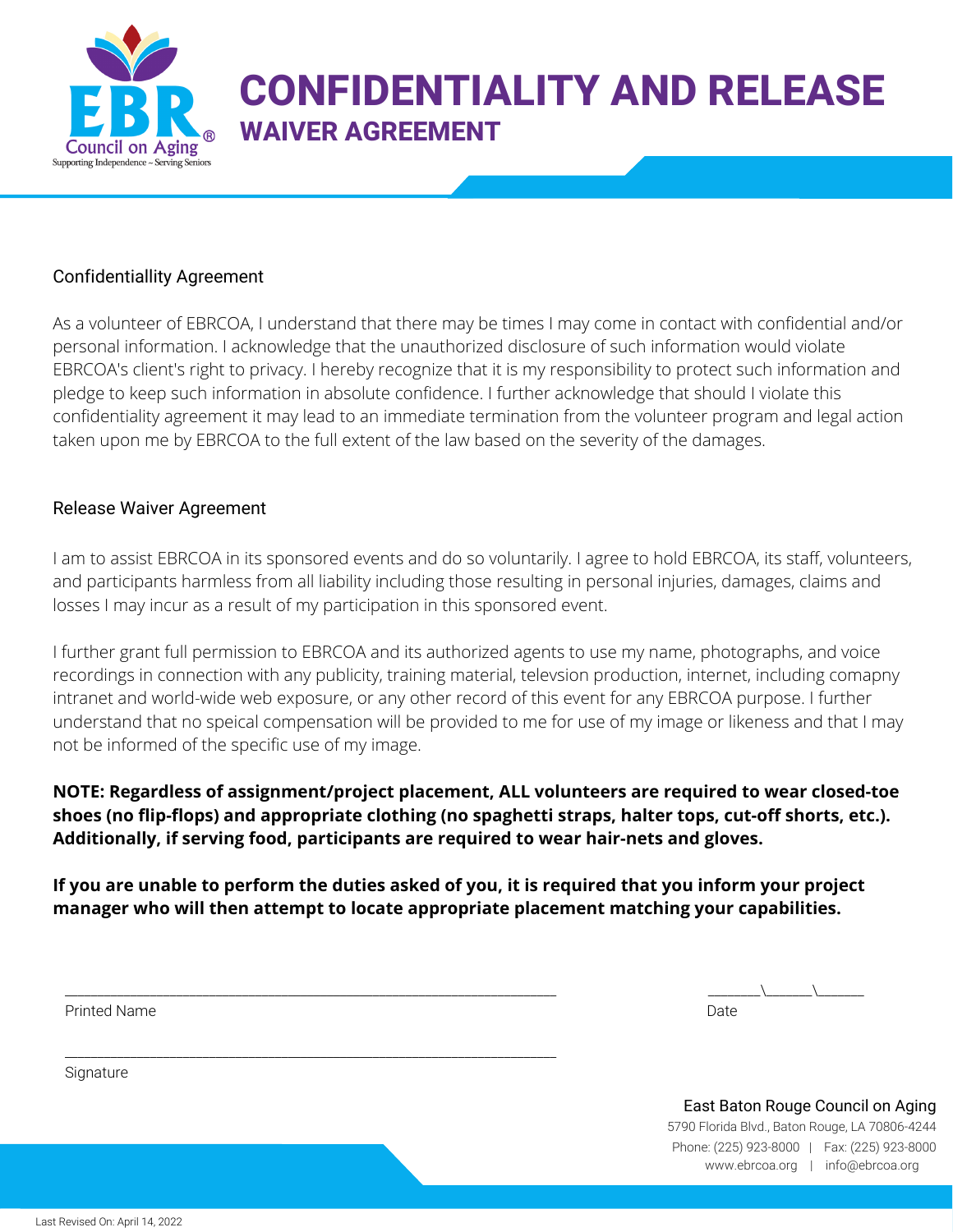

## **CONFIDENTIALITY AND RELEASE WAIVER AGREEMENT**

## Confidentiallity Agreement

As a volunteer of EBRCOA, I understand that there may be times I may come in contact with confidential and/or personal information. I acknowledge that the unauthorized disclosure of such information would violate EBRCOA's client's right to privacy. I hereby recognize that it is my responsibility to protect such information and pledge to keep such information in absolute confidence. I further acknowledge that should I violate this confidentiality agreement it may lead to an immediate termination from the volunteer program and legal action taken upon me by EBRCOA to the full extent of the law based on the severity of the damages.

## Release Waiver Agreement

I am to assist EBRCOA in its sponsored events and do so voluntarily. I agree to hold EBRCOA, its staff, volunteers, and participants harmless from all liability including those resulting in personal injuries, damages, claims and losses I may incur as a result of my participation in this sponsored event.

I further grant full permission to EBRCOA and its authorized agents to use my name, photographs, and voice recordings in connection with any publicity, training material, televsion production, internet, including comapny intranet and world-wide web exposure, or any other record of this event for any EBRCOA purpose. I further understand that no speical compensation will be provided to me for use of my image or likeness and that I may not be informed of the specific use of my image.

**NOTE: Regardless of assignment/project placement, ALL volunteers are required to wear closed-toe shoes (no flip-flops) and appropriate clothing (no spaghetti straps, halter tops, cut-off shorts, etc.). Additionally, if serving food, participants are required to wear hair-nets and gloves.**

If you are unable to perform the duties asked of you, it is required that you inform your project **manager who will then attempt to locate appropriate placement matching your capabilities.**

\_\_\_\_\_\_\_\_\_\_\_\_\_\_\_\_\_\_\_\_\_\_\_\_\_\_\_\_\_\_\_\_\_\_\_\_\_\_\_\_\_\_\_\_\_\_\_\_\_\_\_\_\_\_\_\_\_\_\_\_\_\_\_\_\_\_\_\_\_\_\_\_\_\_\_

Printed Name Date (2008) 2014 12:30 Printed Name Date of America and Date of America and Date of America and D

**Signature** 

\_\_\_\_\_\_\_\_\_\_\_\_\_\_\_\_\_\_\_\_\_\_\_\_\_\_\_\_\_\_\_\_\_\_\_\_\_\_\_\_\_\_\_\_\_\_\_\_\_\_\_\_\_\_\_\_\_\_\_\_\_\_\_\_\_\_\_\_\_\_\_\_\_\_\_ \_\_\_\_\_\_\_\_\\_\_\_\_\_\_\_\\_\_\_\_\_\_\_

Phone: (225) 923-8000 | Fax: (225) 923-8000 5790 Florida Blvd., Baton Rouge, LA 70806-4244 East Baton Rouge Council on Aging www.ebrcoa.org | info@ebrcoa.org